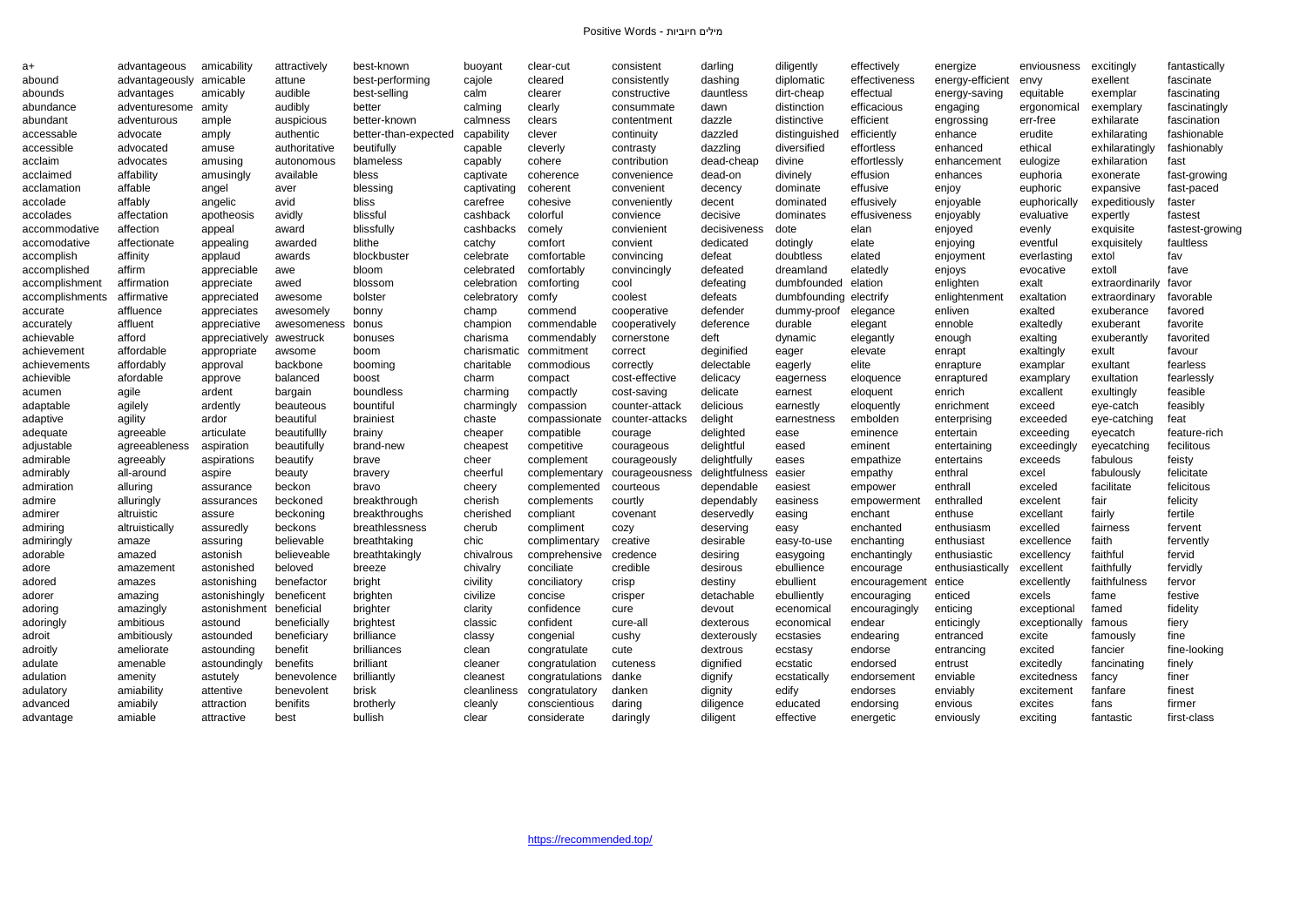| a+              | advantageous            | amicability    | attractively  | best-known           | buoyant     | clear-cut              | consistent      | darling        | diligently    | effectively   | energize         | enviousness   | excitingly      | fantastically   |
|-----------------|-------------------------|----------------|---------------|----------------------|-------------|------------------------|-----------------|----------------|---------------|---------------|------------------|---------------|-----------------|-----------------|
| abound          | advantageously amicable |                | attune        | best-performing      | cajole      | cleared                | consistently    | dashing        | diplomatic    | effectiveness | energy-efficient | envy          | exellent        | fascinate       |
| abounds         | advantages              | amicably       | audible       | best-selling         | calm        | clearer                | constructive    | dauntless      | dirt-cheap    | effectual     | energy-saving    | equitable     | exemplar        | fascinating     |
| abundance       | adventuresome           | amity          | audibly       | better               | calming     | clearly                | consummate      | dawn           | distinction   | efficacious   | engaging         | ergonomical   | exemplary       | fascinatingly   |
| abundant        | adventurous             | ample          | auspicious    | better-known         | calmness    | clears                 | contentment     | dazzle         | distinctive   | efficient     | engrossing       | err-free      | exhilarate      | fascination     |
| accessable      | advocate                | amply          | authentic     | better-than-expected | capability  | clever                 | continuity      | dazzled        | distinguished | efficiently   | enhance          | erudite       | exhilarating    | fashionable     |
| accessible      | advocated               | amuse          | authoritative | beutifully           | capable     | cleverly               | contrasty       | dazzling       | diversified   | effortless    | enhanced         | ethical       | exhilaratingly  | fashionably     |
| acclaim         | advocates               | amusing        | autonomous    | blameless            | capably     | cohere                 | contribution    | dead-cheap     | divine        | effortlessly  | enhancement      | eulogize      | exhilaration    | fast            |
| acclaimed       | affability              | amusingly      | available     | bless                | captivate   | coherence              | convenience     | dead-on        | divinely      | effusion      | enhances         | euphoria      | exonerate       | fast-growing    |
| acclamation     | affable                 | angel          | aver          | blessing             | captivating | coherent               | convenient      | decency        | dominate      | effusive      | enjoy            | euphoric      | expansive       | fast-paced      |
| accolade        | affably                 | angelic        | avid          | bliss                | carefree    | cohesive               | conveniently    | decent         | dominated     | effusively    | enjoyable        | euphorically  | expeditiously   | faster          |
| accolades       | affectation             | apotheosis     | avidly        | blissful             | cashback    | colorful               | convience       | decisive       | dominates     | effusiveness  | enjoyably        | evaluative    | expertly        | fastest         |
| accommodative   | affection               | appeal         | award         | blissfully           | cashbacks   | comely                 | convienient     | decisiveness   | dote          | elan          | enjoyed          | evenly        | exquisite       | fastest-growing |
| accomodative    | affectionate            | appealing      | awarded       | blithe               | catchy      | comfort                | convient        | dedicated      | dotingly      | elate         | enjoying         | eventful      | exquisitely     | faultless       |
| accomplish      | affinity                | applaud        | awards        | blockbuster          | celebrate   | comfortable            | convincing      | defeat         | doubtless     | elated        | enjoyment        | everlasting   | extol           | fav             |
| accomplished    | affirm                  | appreciable    | awe           | bloom                | celebrated  | comfortably            | convincingly    | defeated       | dreamland     | elatedly      | enjoys           | evocative     | extoll          | fave            |
| accomplishment  | affirmation             | appreciate     | awed          | blossom              | celebration | comforting             | cool            | defeating      | dumbfounded   | elation       | enlighten        | exalt         | extraordinarily | favor           |
| accomplishments | affirmative             | appreciated    | awesome       | bolster              | celebratory | comfv                  | coolest         | defeats        | dumbfounding  | electrity     | enlightenment    | exaltation    | extraordinary   | favorable       |
| accurate        | affluence               | appreciates    | awesomely     | bonny                | champ       | commend                | cooperative     | defender       | dummy-proof   | elegance      | enliven          | exalted       | exuberance      | favored         |
| accurately      | affluent                | appreciative   | awesomeness   | bonus                | champion    | commendable            | cooperatively   | deference      | durable       | elegant       | ennoble          | exaltedly     | exuberant       | favorite        |
| achievable      | afford                  | appreciatively | awestruck     | bonuses              | charisma    | commendably            | cornerstone     | deft           | dynamic       | elegantly     | enough           | exalting      | exuberantly     | favorited       |
| achievement     | affordable              | appropriate    | awsome        | boom                 | charismatic | commitment             | correct         | deginified     | eager         | elevate       | enrapt           | exaltingly    | exult           | favour          |
| achievements    | affordably              | approval       | backbone      | booming              | charitable  | commodious             | correctly       | delectable     | eagerly       | elite         | enrapture        | examplar      | exultant        | fearless        |
| achievible      | afordable               | approve        | balanced      | boost                | charm       | compact                | cost-effective  | delicacy       | eagerness     | eloquence     | enraptured       | examplary     | exultation      | fearlessly      |
| acumen          | agile                   | ardent         | bargain       | boundless            | charming    | compactly              | cost-saving     | delicate       | earnest       | eloquent      | enrich           | excallent     | exultingly      | feasible        |
| adaptable       | agilely                 | ardently       | beauteous     | bountiful            | charmingly  | compassion             | counter-attack  | delicious      | earnestly     | eloquently    | enrichment       | exceed        | eye-catch       | feasibly        |
| adaptive        | agility                 | ardor          | beautiful     | brainiest            | chaste      | compassionate          | counter-attacks | delight        | earnestness   | embolden      | enterprising     | exceeded      | eye-catching    | feat            |
| adequate        | agreeable               | articulate     | beautifullly  | brainy               | cheaper     | compatible             | courage         | delighted      | ease          | eminence      | entertain        | exceeding     | eyecatch        | feature-rich    |
| adjustable      | agreeableness           | aspiration     | beautifully   | brand-new            | cheapest    | competitive            | courageous      | delightful     | eased         | eminent       | entertaining     | exceedingly   | eyecatching     | fecilitous      |
| admirable       | agreeably               | aspirations    | beautify      | brave                | cheer       | complement             | courageously    | delightfully   | eases         | empathize     | entertains       | exceeds       | fabulous        | feisty          |
| admirably       | all-around              | aspire         | beauty        | bravery              | cheerful    | complementary          | courageousness  | delightfulness | easier        | empathy       | enthral          | excel         | fabulously      | felicitate      |
| admiration      | alluring                | assurance      | beckon        | bravo                | cheery      | complemented           | courteous       | dependable     | easiest       | empower       | enthrall         | exceled       | facilitate      | felicitous      |
| admire          | alluringly              | assurances     | beckoned      | breakthrough         | cherish     | complements            | courtly         | dependably     | easiness      | empowermen    | enthralled       | excelent      | fair            | felicity        |
| admirer         | altruistic              | assure         | beckoning     | breakthroughs        | cherished   | compliant              | covenant        | deservedly     | easing        | enchant       | enthuse          | excellant     | fairly          | fertile         |
| admiring        | altruistically          | assuredly      | beckons       | breathlessness       | cherub      | compliment             | cozy            | deserving      | easy          | enchanted     | enthusiasm       | excelled      | fairness        | fervent         |
| admiringly      | amaze                   | assuring       | believable    | breathtaking         | chic        | complimentary          | creative        | desirable      | easy-to-use   | enchanting    | enthusiast       | excellence    | faith           | fervently       |
| adorable        | amazed                  | astonish       | believeable   | breathtakingly       | chivalrous  | comprehensive credence |                 | desiring       | easygoing     | enchantingly  | enthusiastic     | excellency    | faithful        | fervid          |
| adore           | amazement               | astonished     | beloved       | breeze               | chivalry    | conciliate             | credible        | desirous       | ebullience    | encourage     | enthusiastically | excellent     | faithfully      | fervidly        |
| adored          | amazes                  | astonishing    | benefactor    | bright               | civility    | conciliatory           | crisp           | destiny        | ebullient     | encouragement | entice           | excellently   | faithfulness    | fervor          |
| adorer          | amazing                 | astonishingly  | beneficent    | brighten             | civilize    | concise                | crisper         | detachable     | ebulliently   | encouraging   | enticed          | excels        | fame            | festive         |
| adoring         | amazingly               | astonishment   | beneficial    | brighter             | clarity     | confidence             | cure            | devout         | ecenomical    | encouragingly | enticing         | exceptional   | famed           | fidelity        |
| adoringly       | ambitious               | astound        | beneficially  | brightest            | classic     | confident              | cure-all        | dexterous      | economical    | endear        | enticingly       | exceptionally | famous          | fiery           |
| adroit          | ambitiously             | astounded      | beneficiary   | brilliance           | classy      | congenial              | cushy           | dexterously    | ecstasies     | endearing     | entranced        | excite        | famously        | fine            |
| adroitly        | ameliorate              | astounding     | benefit       | brilliances          | clean       | congratulate           | cute            | dextrous       | ecstasy       | endorse       | entrancing       | excited       | fancier         | fine-looking    |
| adulate         | amenable                | astoundingly   | benefits      | brilliant            | cleaner     | congratulation         | cuteness        | dignified      | ecstatic      | endorsed      | entrust          | excitedly     | fancinating     | finely          |
| adulation       | amenity                 | astutely       | benevolence   | brilliantly          | cleanest    | congratulations        | danke           | dignify        | ecstatically  | endorsement   | enviable         | excitedness   | fancy           | finer           |
| adulatory       | amiability              | attentive      | benevolent    | brisk                | cleanliness | congratulatory         | danken          | dignity        | edify         | endorses      | enviably         | excitement    | fanfare         | finest          |
| advanced        | amiabily                | attraction     | benifits      | brotherly            | cleanly     | conscientious          | daring          | diligence      | educated      | endorsing     | envious          | excites       | fans            | firmer          |
| advantage       | amiable                 | attractive     | best          | bullish              | clear       | considerate            | daringly        | diligent       | effective     | energetic     | enviously        | exciting      | fantastic       | first-class     |
|                 |                         |                |               |                      |             |                        |                 |                |               |               |                  |               |                 |                 |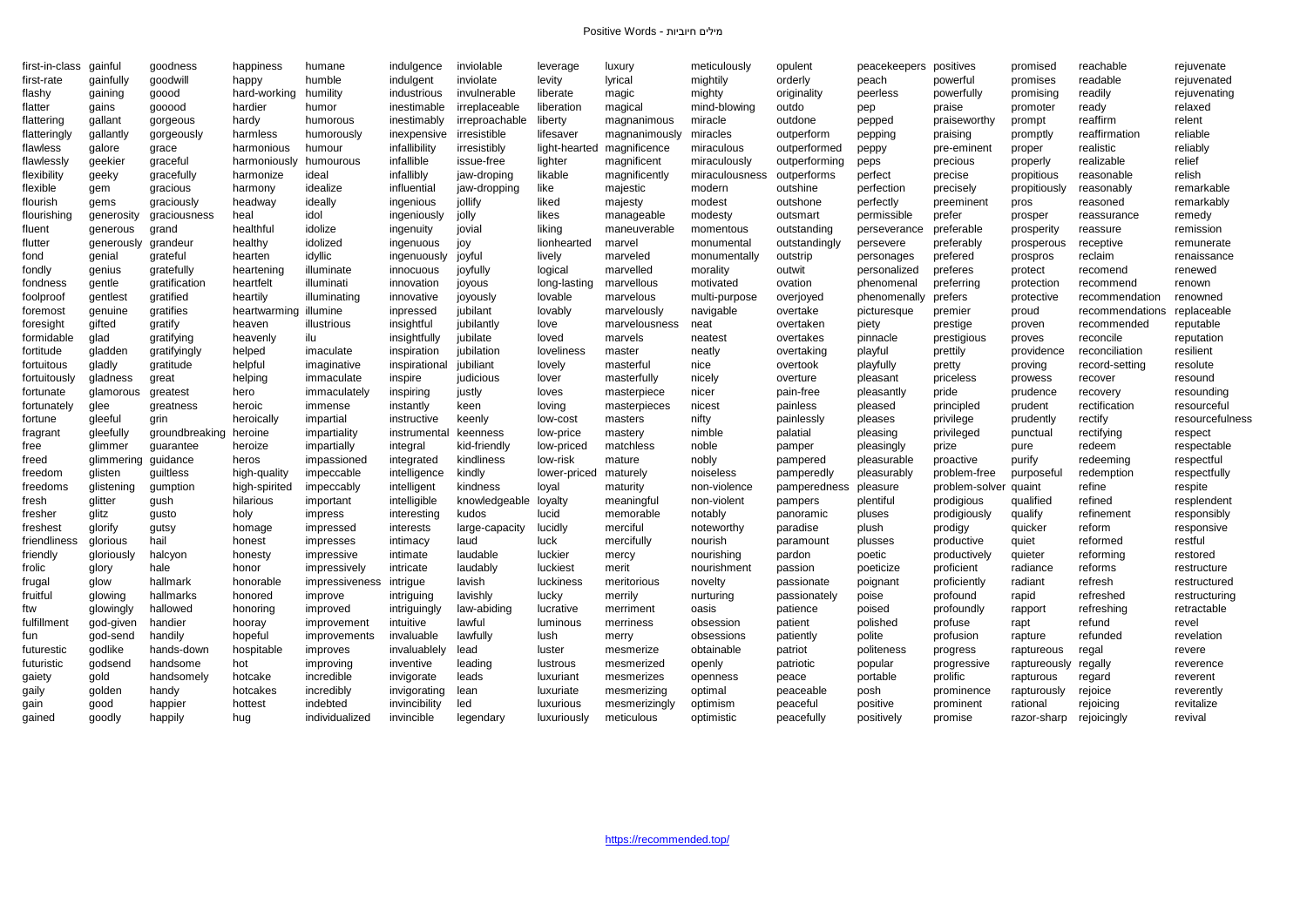| first-in-class | gainfu                | goodness       | happiness             | humane                  | indulgence    | inviolable       | leverage      | luxury        | meticulously   | opulent       | peacekeepers        | positives               | promised                | reachable       | rejuvenate      |
|----------------|-----------------------|----------------|-----------------------|-------------------------|---------------|------------------|---------------|---------------|----------------|---------------|---------------------|-------------------------|-------------------------|-----------------|-----------------|
| first-rate     | gainfully             | goodwill       | happy                 | humble                  | indulgent     | inviolate        | levity        | lyrical       | mightily       | orderly       | peach               | powerful                | promises                | readable        | rejuvenated     |
| flashy         | gaining               | goood          | hard-working          | humility                | industrious   | invulnerable     | liberate      | magic         | mighty         | originality   | peerless            | powerfully              | promising               | readily         | rejuvenating    |
| flatter        | gains                 | gooood         | hardier               | humor                   | inestimable   | irreplaceable    | liberation    | magical       | mind-blowing   | outdo         | pep                 | praise                  | promoter                | ready           | relaxed         |
| flattering     | gallant               | gorgeous       | hardy                 | humorous                | inestimably   | irreproachable   | liberty       | magnanimous   | miracle        | outdone       | pepped              | praiseworthy            | prompt                  | reaffirm        | relent          |
| flatteringly   | gallantly             | gorgeously     | harmless              | humorously              | inexpensive   | irresistible     | lifesaver     | magnanimously | miracles       | outperform    | pepping             | praising                | promptly                | reaffirmation   | reliable        |
| flawless       | galore                | grace          | harmonious            | humour                  | infallibility | irresistibly     | light-hearted | magnificence  | miraculous     | outperformed  | peppy               | pre-eminent             | proper                  | realistic       | reliably        |
| flawlessly     | geekier               | graceful       | harmoniously          | humourous               | infallible    | issue-free       | lighter       | magnificent   | miraculously   | outperforming | peps                | precious                | properly                | realizable      | relief          |
| flexibility    | geeky                 | gracefully     | harmonize             | ideal                   | infallibly    | jaw-droping      | likable       | magnificently | miraculousness | outperforms   | perfect             | precise                 | propitious              | reasonable      | relish          |
| flexible       | gem                   | gracious       | harmony               | idealize                | influential   | jaw-dropping     | like          | majestic      | modern         | outshine      | perfection          | precisely               | propitiously            | reasonably      | remarkable      |
| flourish       | gems                  | graciously     | headway               | ideally                 | ingenious     | jollify          | liked         | majesty       | modest         | outshone      | perfectly           | preeminent              | pros                    | reasoned        | remarkably      |
| flourishing    | generosity            | graciousness   | heal                  | idol                    | ingeniously   | jolly            | likes         | manageable    | modesty        | outsmart      | permissible         | prefer                  | prosper                 | reassurance     | remedy          |
| fluent         | generous              | grand          | healthfu              | idolize                 | ingenuity     | jovial           | liking        | maneuverable  | momentous      | outstanding   | perseverance        | preferable              | prosperity              | reassure        | remission       |
| flutter        | generously            | grandeur       | healthy               | idolized                | ingenuous     | joy              | lionhearted   | marvel        | monumental     | outstandingly | persevere           | preferably              | prosperous              | receptive       | remunerate      |
| fond           | genial                | grateful       | hearten               | idyllic                 | ingenuously   | joyful           | lively        | marveled      | monumentally   | outstrip      | personages          | prefered                | prospros                | reclaim         | renaissance     |
| fondly         | genius                | gratefully     | heartening            | illuminate              | innocuous     | joyfully         | logical       | marvelled     | morality       | outwit        | personalized        | preferes                | protect                 | recomend        | renewed         |
| fondness       | gentle                | gratification  | heartfelt             | illuminati              | innovation    | joyous           | long-lasting  | marvellous    | motivated      | ovation       | phenomenal          | preferring              | protection              | recommend       | renown          |
| foolproot      | gentlest              | gratified      | heartily              | illuminating            | innovative    | joyously         | lovable       | marvelous     | multi-purpose  | overjoyed     | phenomenally        | prefers                 | protective              | recommendation  | renowned        |
| foremost       | genuine               | gratifies      | heartwarming illumine |                         | inpressed     | jubilant         | lovably       | marvelously   | navigable      | overtake      | picturesque         | premier                 | proud                   | recommendations | replaceable     |
| foresight      | gifted                | gratify        | heaven                | illustrious             | insightful    | jubilantly       | love          | marvelousness | neat           | overtaken     | piety               | prestige                | proven                  | recommended     | reputable       |
| formidable     | glad                  | gratifying     | heavenly              | ilu                     | insightfully  | jubilate         | loved         | marvels       | neatest        | overtakes     | pinnacle            | prestigious             | proves                  | reconcile       | reputation      |
| fortitude      | gladden               | gratifyingly   | helped                | imaculate               | inspiration   | jubilation       | loveliness    | master        | neatly         | overtaking    | playful             | prettily                | providence              | reconciliation  | resilient       |
| fortuitous     | gladly                | gratitude      | helpful               | imaginative             | inspirational | jubiliant        | lovely        | masterful     | nice           | overtook      | playfully           | pretty                  | proving                 | record-setting  | resolute        |
| fortuitously   | gladness              | great          | helping               | immaculate              | inspire       | judicious        | lover         | masterfully   | nicely         | overture      | pleasant            | priceless               | prowess                 | recover         | resound         |
| fortunate      | glamorous             | greatest       | hero                  | immaculately            | inspiring     | justly           | loves         | masterpiece   | nicer          | pain-free     | pleasantly          | pride                   | prudence                | recovery        | resounding      |
| fortunately    | glee                  | greatness      | heroic                | immense                 | instantly     | keen             | loving        | masterpieces  | nicest         | painless      | pleased             | principled              | prudent                 | rectification   | resourceful     |
| fortune        | gleeful               | grin           | heroically            | impartial               | instructive   | keenly           | low-cost      | masters       | nifty          | painlessly    | pleases             | privilege               | prudently               | rectify         | resourcefulness |
| fragrant       | gleefully             | groundbreaking | heroine               | impartiality            | instrumental  | keenness         | low-price     | mastery       | nimble         | palatial      | pleasing            | privileged              | punctual                | rectifying      | respect         |
| free           | glimmer               | guarantee      | heroize               | impartially             | integral      | kid-friendly     | low-priced    | matchless     | noble          | pamper        | pleasingly          | prize                   | pure                    | redeem          | respectable     |
| freed          | glimmering guidance   |                | heros                 | impassioned             | integrated    | kindliness       | low-risk      | mature        | nobly          | pampered      | pleasurable         | proactive               | purify                  | redeeming       | respectful      |
| freedom        | glisten               | guiltless      | high-quality          | impeccable              | intelligence  | kindly           | lower-priced  | maturely      | noiseless      | pamperedly    | pleasurably         | problem-free            | purposeful              | redemption      | respectfully    |
| freedoms       | glistening            | gumption       | high-spirited         | impeccably              | intelligen    | kindness         | loyal         | maturity      | non-violence   | pamperedness  | pleasure            | problem-solver quaint   |                         | refine          | respite         |
| fresh          | glitter               | gush           | hilarious             | important               | intelligible  | knowledgeable    | loyalty       | meaningful    | non-violent    | pampers       | plentiful           | prodigious              | qualified               | refined         | resplendent     |
| fresher        | glitz                 | gusto          | holy                  | impress                 | interesting   | kudos            | lucid         | memorable     | notably        | panoramic     | pluses              | prodigiously            | qualify                 | refinement      | responsibly     |
| freshest       | glorify               | gutsy          | homage                | impressed               | interests     | large-capacity   | lucidly       | merciful      | noteworthy     | paradise      | plush               | prodigy                 | quicker                 | reform          | responsive      |
| friendliness   | glorious              | hail           | honest                | impresses               | intimacy      | laud             | luck          | mercifully    | nourish        | paramount     | plusses             | productive              | quiet                   | reformed        | restful         |
| friendly       | gloriously            | halcyon        | honesty               | impressive              | intimate      | laudable         | luckier       | mercy         | nourishing     | pardon        | poetic              | productively            | quieter                 | reforming       | restored        |
| frolic         | glory                 | hale           | honor                 | impressively            | intricate     | laudably         | luckiest      | merit         | nourishment    | passion       | poeticize           | proficient              | radiance                | reforms         | restructure     |
| frugal         | glow                  | hallmark       | honorable             | impressiveness          | intrigue      | lavish           | luckiness     | meritorious   | novelty        | passionate    | poignant            | proficiently            | radiant                 | refresh         | restructured    |
| fruitful       | glowing               | hallmarks      | honored               | improve                 | intriguing    | lavishly         | lucky         | merrily       | nurturing      | passionately  | poise               | profound                | rapid                   | refreshed       | restructuring   |
| ftw            | glowingly             | hallowed       | honoring              | improved                | intriguingly  | law-abiding      | lucrative     | merriment     | oasis          | patience      | poised              | profoundly              |                         | refreshing      | retractable     |
| fulfillment    |                       | handier        |                       | improvement             | intuitive     | lawful           | luminous      | merriness     | obsession      | patient       | polished            | profuse                 | rapport                 | refund          | revel           |
|                | god-given<br>god-send | handily        | hooray<br>hopeful     |                         | invaluable    | lawfully         | lush          |               | obsessions     | patiently     | polite              | profusion               | rapt                    | refunded        | revelation      |
| fun            | godlike               | hands-down     | hospitable            | improvements            | invaluablely  | lead             | luster        | merry         | obtainable     | patriot       | politeness          |                         | rapture<br>raptureous   |                 | revere          |
| futurestic     |                       | handsome       |                       | improves                | inventive     |                  |               | mesmerize     |                |               |                     | progress                |                         | regal           |                 |
| futuristic     | godsend<br>gold       |                | hot                   | improving<br>incredible | invigorate    | leading<br>leads | lustrous      | mesmerized    | openly         | patriotic     | popular<br>portable | progressive<br>prolific | raptureously regally    |                 | reverence       |
| gaiety         |                       | handsomely     | hotcake               |                         |               |                  | luxuriant     | mesmerizes    | openness       | peace         |                     |                         | rapturous               | regard          | reverent        |
| gaily          | golden                | handy          | hotcakes              | incredibly              | invigorating  | lean             | luxuriate     | mesmerizing   | optimal        | peaceable     | posh                | prominence              | rapturously             | rejoice         | reverently      |
| gain           | good                  | happier        | hottest               | indebted                | invincibility | led              | luxurious     | mesmerizingly | optimism       | peaceful      | positive            | prominent               | rational                | rejoicing       | revitalize      |
| gained         | goodly                | happily        | hug                   | individualized          | invincible    | legendary        | luxuriously   | meticulous    | optimistic     | peacefully    | positively          | promise                 | razor-sharp rejoicingly |                 | revival         |

|       | promised     | r |
|-------|--------------|---|
|       | promises     | r |
|       | promising    | r |
|       | promoter     | r |
| ٦у    | prompt       | r |
|       | promptly     | r |
| ١t    | proper       | r |
|       | properly     | r |
|       | propitious   | r |
|       | propitiously | r |
| t     | pros         | r |
|       | prosper      | r |
|       | prosperity   | r |
|       | prosperous   | r |
|       | prospros     | r |
|       | protect      | r |
|       | protection   | r |
|       | protective   | r |
|       | proud        | r |
|       | proven       | r |
|       | proves       | r |
|       | providence   | r |
|       | proving      | r |
|       | prowess      | r |
|       | prudence     | r |
|       | prudent      | r |
|       | prudently    | r |
|       | punctual     | r |
|       | pure         | r |
|       | purify       | r |
| эe    | purposeful   | ľ |
| ılver | quaint       | r |
|       | qualified    | r |
|       | qualify      | r |
|       | quicker      | r |
|       | quiet        | r |
|       | quieter      | r |
|       | radiance     | r |
|       | radiant      | r |
|       | rapid        | r |
|       | rapport      | r |
|       | rapt         | r |
|       | rapture      | r |
|       | raptureous   | r |
|       | raptureously | r |
|       | rapturous    | r |
| э     | rapturously  | r |
|       | rational     | r |
|       | razor-sharp  | r |